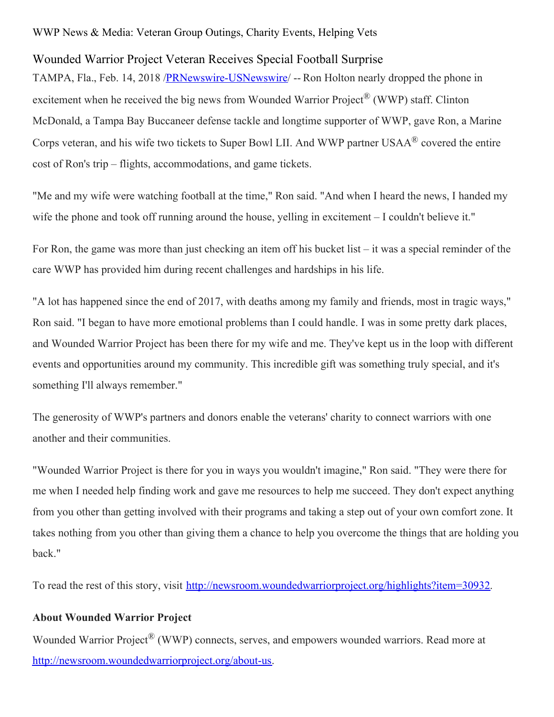## WWP News & Media: Veteran Group Outings, Charity Events, Helping Vets

## Wounded Warrior Project Veteran Receives Special Football Surprise

TAMPA, Fla., Feb. 14, 2018 [/PRNewswire-USNewswire](http://www.prnewswire.com/)/ -- Ron Holton nearly dropped the phone in excitement when he received the big news from Wounded Warrior Project<sup>®</sup> (WWP) staff. Clinton McDonald, a Tampa Bay Buccaneer defense tackle and longtime supporter of WWP, gave Ron, a Marine Corps veteran, and his wife two tickets to Super Bowl LII. And WWP partner USAA $^{\circledR}$  covered the entire cost of Ron's trip – flights, accommodations, and game tickets.

"Me and my wife were watching football at the time," Ron said. "And when I heard the news, I handed my wife the phone and took off running around the house, yelling in excitement – I couldn't believe it."

For Ron, the game was more than just checking an item off his bucket list – it was a special reminder of the care WWP has provided him during recent challenges and hardships in his life.

"A lot has happened since the end of 2017, with deaths among my family and friends, most in tragic ways," Ron said. "I began to have more emotional problems than I could handle. I was in some pretty dark places, and Wounded Warrior Project has been there for my wife and me. They've kept us in the loop with different events and opportunities around my community. This incredible gift was something truly special, and it's something I'll always remember."

The generosity of WWP's partners and donors enable the veterans' charity to connect warriors with one another and their communities.

"Wounded Warrior Project is there for you in ways you wouldn't imagine," Ron said. "They were there for me when I needed help finding work and gave me resources to help me succeed. They don't expect anything from you other than getting involved with their programs and taking a step out of your own comfort zone. It takes nothing from you other than giving them a chance to help you overcome the things that are holding you back."

To read the rest of this story, visit <http://newsroom.woundedwarriorproject.org/highlights?item=30932>.

## **About Wounded Warrior Project**

Wounded Warrior Project<sup>®</sup> (WWP) connects, serves, and empowers wounded warriors. Read more at <http://newsroom.woundedwarriorproject.org/about-us>.